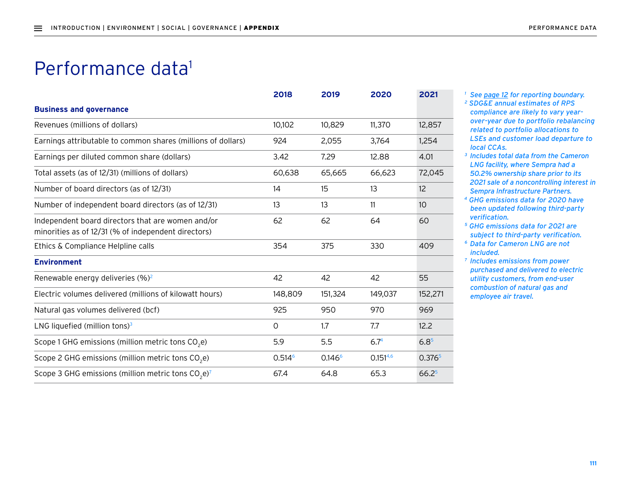## Performance data<sup>1</sup>

|                                                                                                          | 2018               | 2019               | 2020             | 2021               |
|----------------------------------------------------------------------------------------------------------|--------------------|--------------------|------------------|--------------------|
| <b>Business and governance</b>                                                                           |                    |                    |                  |                    |
| Revenues (millions of dollars)                                                                           | 10,102             | 10,829             | 11,370           | 12,857             |
| Earnings attributable to common shares (millions of dollars)                                             | 924                | 2,055              | 3,764            | 1,254              |
| Earnings per diluted common share (dollars)                                                              | 3.42               | 7.29               | 12.88            | 4.01               |
| Total assets (as of 12/31) (millions of dollars)                                                         | 60,638             | 65,665             | 66,623           | 72,045             |
| Number of board directors (as of 12/31)                                                                  | 14                 | 15                 | 13               | 12                 |
| Number of independent board directors (as of 12/31)                                                      | 13                 | 13                 | 11               | 10                 |
| Independent board directors that are women and/or<br>minorities as of 12/31 (% of independent directors) | 62                 | 62                 | 64               | 60                 |
| Ethics & Compliance Helpline calls                                                                       | 354                | 375                | 330              | 409                |
| <b>Environment</b>                                                                                       |                    |                    |                  |                    |
| Renewable energy deliveries (%) <sup>2</sup>                                                             | 42                 | 42                 | 42               | 55                 |
| Electric volumes delivered (millions of kilowatt hours)                                                  | 148,809            | 151,324            | 149,037          | 152,271            |
| Natural gas volumes delivered (bcf)                                                                      | 925                | 950                | 970              | 969                |
| LNG liquefied (million tons) $3$                                                                         | $\circ$            | 1.7                | 7.7              | 12.2               |
| Scope 1 GHG emissions (million metric tons CO <sub>2</sub> e)                                            | 5.9                | 5.5                | 6.7 <sup>4</sup> | $6.8^{5}$          |
| Scope 2 GHG emissions (million metric tons CO <sub>2</sub> e)                                            | 0.514 <sup>6</sup> | 0.146 <sup>6</sup> | $0.151^{4,6}$    | 0.376 <sup>5</sup> |
| Scope 3 GHG emissions (million metric tons $CO2$ e) <sup>7</sup>                                         | 67.4               | 64.8               | 65.3             | 66.2 <sup>5</sup>  |
|                                                                                                          |                    |                    |                  |                    |

- *<sup>1</sup> See page 12 for reporting boundary.*
- *2 SDG&E annual estimates of RPS compliance are likely to vary yearover-year due to portfolio rebalancing related to portfolio allocations to LSEs and customer load departure to local CCAs.*
- *<sup>3</sup> Includes total data from the Cameron LNG facility, where Sempra had a 50.2% ownership share prior to its 2021 sale of a noncontrolling interest in Sempra Infrastructure Partners.*
- *4 GHG emissions data for 2020 have been updated following third-party verification.*
- *5 GHG emissions data for 2021 are subject to third-party verification.*
- *<sup>6</sup> Data for Cameron LNG are not included.*
- *<sup>7</sup> Includes emissions from power purchased and delivered to electric utility customers, from end-user combustion of natural gas and employee air travel.*